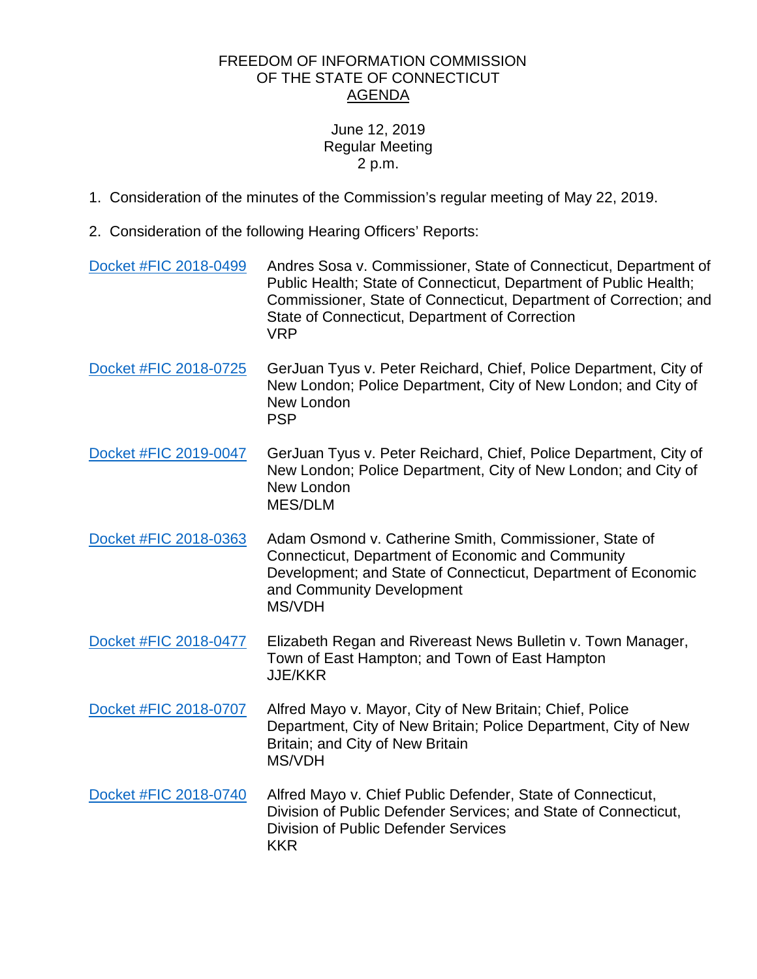## FREEDOM OF INFORMATION COMMISSION OF THE STATE OF CONNECTICUT AGENDA

## June 12, 2019 Regular Meeting 2 p.m.

- 1. Consideration of the minutes of the Commission's regular meeting of May 22, 2019.
- 2. Consideration of the following Hearing Officers' Reports:
- [Docket #FIC 2018-0499](https://www.ct.gov/foi/lib/foi/agendas/2019/june12/2018-0499.pdf) Andres Sosa v. Commissioner, State of Connecticut, Department of Public Health; State of Connecticut, Department of Public Health; Commissioner, State of Connecticut, Department of Correction; and State of Connecticut, Department of Correction VRP [Docket #FIC 2018-0725](https://www.ct.gov/foi/lib/foi/agendas/2019/june12/2018-0725.pdf) GerJuan Tyus v. Peter Reichard, Chief, Police Department, City of New London; Police Department, City of New London; and City of New London PSP [Docket #FIC 2019-0047](https://www.ct.gov/foi/lib/foi/agendas/2019/june12/2019-0047.pdf) GerJuan Tyus v. Peter Reichard, Chief, Police Department, City of New London; Police Department, City of New London; and City of New London MES/DLM [Docket #FIC 2018-0363](https://www.ct.gov/foi/lib/foi/agendas/2019/june12/2018-0363.pdf) Adam Osmond v. Catherine Smith, Commissioner, State of Connecticut, Department of Economic and Community Development; and State of Connecticut, Department of Economic and Community Development MS/VDH [Docket #FIC 2018-0477](https://www.ct.gov/foi/lib/foi/agendas/2019/june12/2018-0477.pdf) Elizabeth Regan and Rivereast News Bulletin v. Town Manager, Town of East Hampton; and Town of East Hampton JJE/KKR [Docket #FIC 2018-0707](https://www.ct.gov/foi/lib/foi/agendas/2019/june12/2018-0707.pdf) Alfred Mayo v. Mayor, City of New Britain; Chief, Police Department, City of New Britain; Police Department, City of New Britain; and City of New Britain MS/VDH [Docket #FIC 2018-0740](https://www.ct.gov/foi/lib/foi/agendas/2019/june12/2018-0740.pdf) Alfred Mayo v. Chief Public Defender, State of Connecticut, Division of Public Defender Services; and State of Connecticut, Division of Public Defender Services KKR